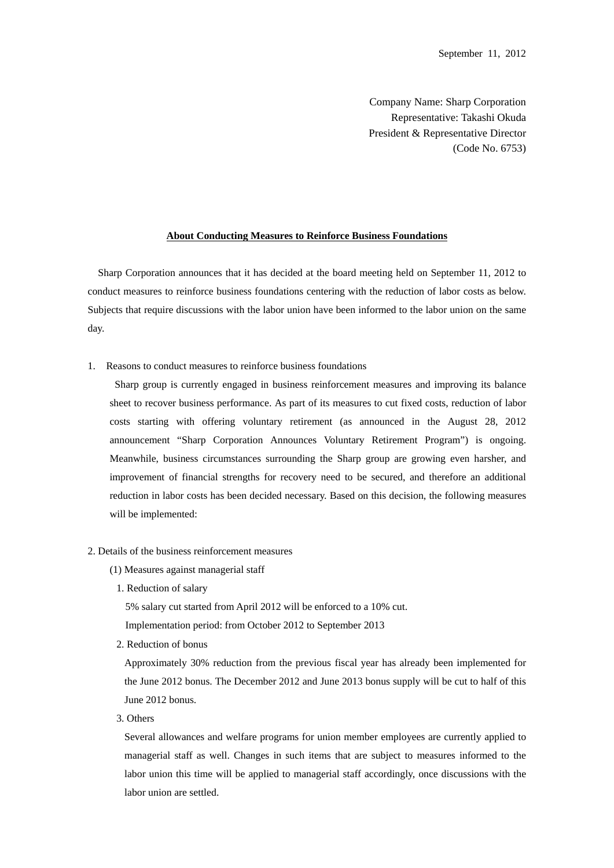Company Name: Sharp Corporation Representative: Takashi Okuda President & Representative Director (Code No. 6753)

## **About Conducting Measures to Reinforce Business Foundations**

Sharp Corporation announces that it has decided at the board meeting held on September 11, 2012 to conduct measures to reinforce business foundations centering with the reduction of labor costs as below. Subjects that require discussions with the labor union have been informed to the labor union on the same day.

1. Reasons to conduct measures to reinforce business foundations

Sharp group is currently engaged in business reinforcement measures and improving its balance sheet to recover business performance. As part of its measures to cut fixed costs, reduction of labor costs starting with offering voluntary retirement (as announced in the August 28, 2012 announcement "Sharp Corporation Announces Voluntary Retirement Program") is ongoing. Meanwhile, business circumstances surrounding the Sharp group are growing even harsher, and improvement of financial strengths for recovery need to be secured, and therefore an additional reduction in labor costs has been decided necessary. Based on this decision, the following measures will be implemented:

- 2. Details of the business reinforcement measures
	- (1) Measures against managerial staff
		- 1. Reduction of salary

5% salary cut started from April 2012 will be enforced to a 10% cut.

Implementation period: from October 2012 to September 2013

2. Reduction of bonus

Approximately 30% reduction from the previous fiscal year has already been implemented for the June 2012 bonus. The December 2012 and June 2013 bonus supply will be cut to half of this June 2012 bonus.

3. Others

Several allowances and welfare programs for union member employees are currently applied to managerial staff as well. Changes in such items that are subject to measures informed to the labor union this time will be applied to managerial staff accordingly, once discussions with the labor union are settled.